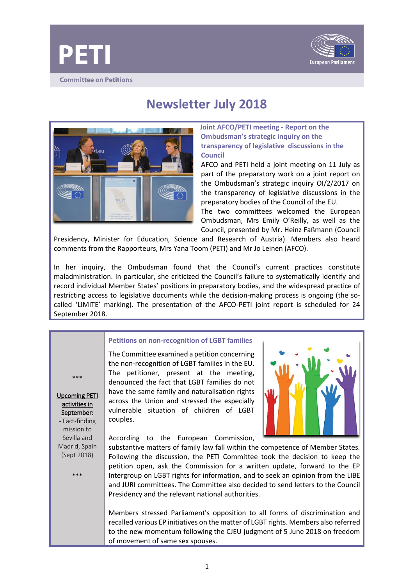



# **Newsletter July 2018**



## **Joint AFCO/PETI meeting - Report on the Ombudsman's strategic inquiry on the transparency of legislative discussions in the Council**

AFCO and PETI held a joint meeting on 11 July as part of the preparatory work on a joint report on the Ombudsman's strategic inquiry OI/2/2017 on the transparency of legislative discussions in the preparatory bodies of the Council of the EU.

The two committees welcomed the European Ombudsman, Mrs Emily O'Reilly, as well as the Council, presented by Mr. Heinz Faßmann (Council

Presidency, Minister for Education, Science and Research of Austria). Members also heard comments from the Rapporteurs, Mrs Yana Toom (PETI) and Mr Jo Leinen (AFCO).

In her inquiry, the Ombudsman found that the Council's current practices constitute maladministration. In particular, she criticized the Council's failure to systematically identify and record individual Member States' positions in preparatory bodies, and the widespread practice of restricting access to legislative documents while the decision-making process is ongoing (the socalled 'LIMITE' marking). The presentation of the AFCO-PETI joint report is scheduled for 24 September 2018.

## **Petitions on non-recognition of LGBT families**

\*\*\*

Upcoming PETI activities in September: - Fact-finding

mission to Sevilla and Madrid, Spain (Sept 2018)

\*\*\*

The Committee examined a petition concerning the non-recognition of LGBT families in the EU. The petitioner, present at the meeting, denounced the fact that LGBT families do not have the same family and naturalisation rights across the Union and stressed the especially vulnerable situation of children of LGBT couples.

According to the European Commission,

substantive matters of family law fall within the competence of Member States. Following the discussion, the PETI Committee took the decision to keep the petition open, ask the Commission for a written update, forward to the EP Intergroup on LGBT rights for information, and to seek an opinion from the LIBE and JURI committees. The Committee also decided to send letters to the Council Presidency and the relevant national authorities.

Members stressed Parliament's opposition to all forms of discrimination and recalled various EP initiatives on the matter of LGBT rights. Members also referred to the new momentum following the CJEU judgment of 5 June 2018 on freedom of movement of same sex spouses.